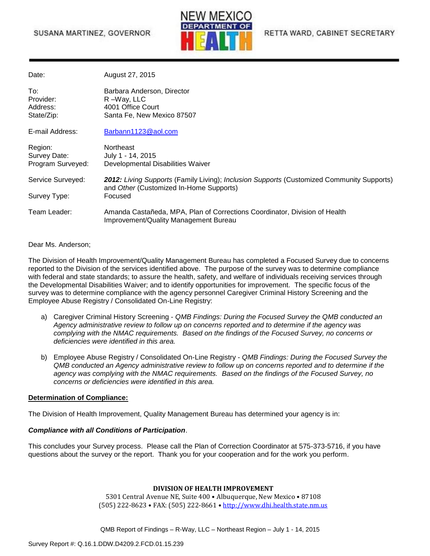## SUSANA MARTINEZ, GOVERNOR



| Date:                                        | August 27, 2015                                                                                                                      |  |
|----------------------------------------------|--------------------------------------------------------------------------------------------------------------------------------------|--|
| To:<br>Provider:<br>Address:<br>State/Zip:   | Barbara Anderson, Director<br>R-Way, LLC<br>4001 Office Court<br>Santa Fe, New Mexico 87507                                          |  |
| E-mail Address:                              | Barbann1123@aol.com                                                                                                                  |  |
| Region:<br>Survey Date:<br>Program Surveyed: | Northeast<br>July 1 - 14, 2015<br>Developmental Disabilities Waiver                                                                  |  |
| Service Surveyed:                            | 2012: Living Supports (Family Living); Inclusion Supports (Customized Community Supports)<br>and Other (Customized In-Home Supports) |  |
| Survey Type:                                 | Focused                                                                                                                              |  |
| Team Leader:                                 | Amanda Castañeda, MPA, Plan of Corrections Coordinator, Division of Health<br>Improvement/Quality Management Bureau                  |  |

Dear Ms. Anderson;

The Division of Health Improvement/Quality Management Bureau has completed a Focused Survey due to concerns reported to the Division of the services identified above. The purpose of the survey was to determine compliance with federal and state standards; to assure the health, safety, and welfare of individuals receiving services through the Developmental Disabilities Waiver; and to identify opportunities for improvement. The specific focus of the survey was to determine compliance with the agency personnel Caregiver Criminal History Screening and the Employee Abuse Registry / Consolidated On-Line Registry:

- a) Caregiver Criminal History Screening *QMB Findings: During the Focused Survey the QMB conducted an Agency administrative review to follow up on concerns reported and to determine if the agency was complying with the NMAC requirements. Based on the findings of the Focused Survey, no concerns or deficiencies were identified in this area.*
- b) Employee Abuse Registry / Consolidated On-Line Registry *QMB Findings: During the Focused Survey the QMB conducted an Agency administrative review to follow up on concerns reported and to determine if the agency was complying with the NMAC requirements. Based on the findings of the Focused Survey, no concerns or deficiencies were identified in this area.*

#### **Determination of Compliance:**

The Division of Health Improvement, Quality Management Bureau has determined your agency is in:

#### *Compliance with all Conditions of Participation*.

This concludes your Survey process. Please call the Plan of Correction Coordinator at 575-373-5716, if you have questions about the survey or the report. Thank you for your cooperation and for the work you perform.

#### **DIVISION OF HEALTH IMPROVEMENT**

5301 Central Avenue NE, Suite 400 • Albuquerque, New Mexico • 87108 (505) 222-8623 • FAX: (505) 222-8661 • [http://www.dhi.health.state.nm.us](http://www.dhi.health.state.nm.us/)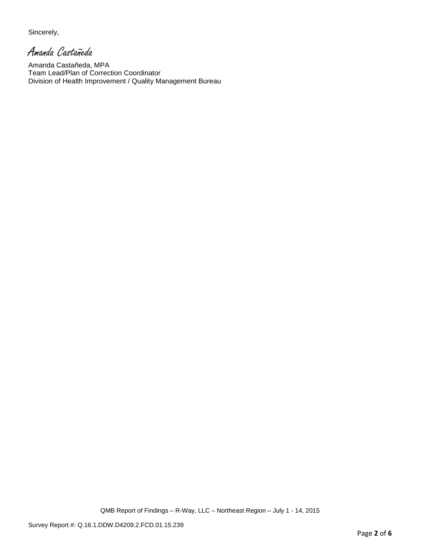Sincerely,

Amanda Castañeda

Amanda Castañeda, MPA Team Lead/Plan of Correction Coordinator Division of Health Improvement / Quality Management Bureau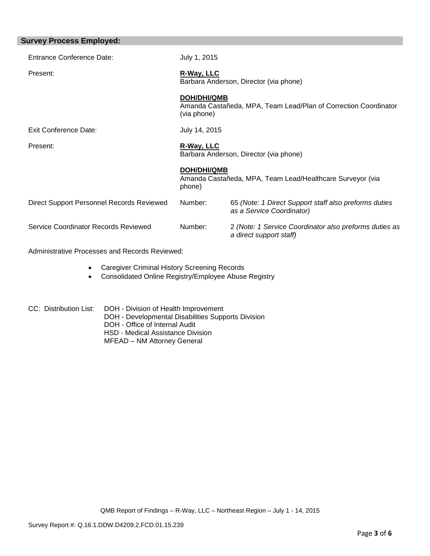| <b>Survey Process Employed:</b>           |                                                                                                      |                                                                                    |  |
|-------------------------------------------|------------------------------------------------------------------------------------------------------|------------------------------------------------------------------------------------|--|
| <b>Entrance Conference Date:</b>          | July 1, 2015                                                                                         |                                                                                    |  |
| Present:                                  | R-Way, LLC<br>Barbara Anderson, Director (via phone)                                                 |                                                                                    |  |
|                                           | <b>DOH/DHI/QMB</b><br>Amanda Castañeda, MPA, Team Lead/Plan of Correction Coordinator<br>(via phone) |                                                                                    |  |
| Exit Conference Date:                     | July 14, 2015                                                                                        |                                                                                    |  |
| Present:                                  | R-Way, LLC<br>Barbara Anderson, Director (via phone)                                                 |                                                                                    |  |
|                                           | <b>DOH/DHI/QMB</b><br>Amanda Castañeda, MPA, Team Lead/Healthcare Surveyor (via<br>phone)            |                                                                                    |  |
| Direct Support Personnel Records Reviewed | Number:                                                                                              | 65 (Note: 1 Direct Support staff also preforms duties<br>as a Service Coordinator) |  |
| Service Coordinator Records Reviewed      | Number:                                                                                              | 2 (Note: 1 Service Coordinator also preforms duties as<br>a direct support staff)  |  |
|                                           |                                                                                                      |                                                                                    |  |

Administrative Processes and Records Reviewed:

- Caregiver Criminal History Screening Records
- Consolidated Online Registry/Employee Abuse Registry
- CC: Distribution List: DOH Division of Health Improvement DOH - Developmental Disabilities Supports Division DOH - Office of Internal Audit HSD - Medical Assistance Division MFEAD – NM Attorney General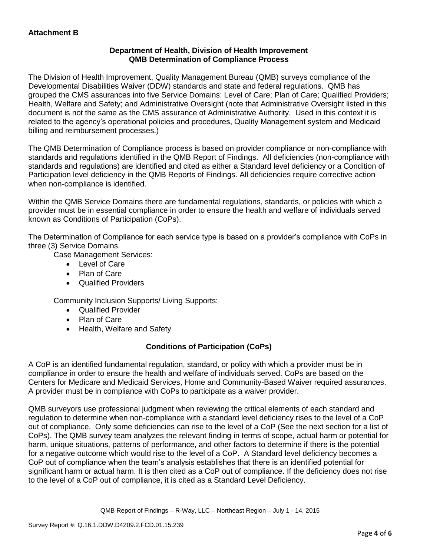# **Department of Health, Division of Health Improvement QMB Determination of Compliance Process**

The Division of Health Improvement, Quality Management Bureau (QMB) surveys compliance of the Developmental Disabilities Waiver (DDW) standards and state and federal regulations. QMB has grouped the CMS assurances into five Service Domains: Level of Care; Plan of Care; Qualified Providers; Health, Welfare and Safety; and Administrative Oversight (note that Administrative Oversight listed in this document is not the same as the CMS assurance of Administrative Authority. Used in this context it is related to the agency's operational policies and procedures, Quality Management system and Medicaid billing and reimbursement processes.)

The QMB Determination of Compliance process is based on provider compliance or non-compliance with standards and regulations identified in the QMB Report of Findings. All deficiencies (non-compliance with standards and regulations) are identified and cited as either a Standard level deficiency or a Condition of Participation level deficiency in the QMB Reports of Findings. All deficiencies require corrective action when non-compliance is identified.

Within the QMB Service Domains there are fundamental regulations, standards, or policies with which a provider must be in essential compliance in order to ensure the health and welfare of individuals served known as Conditions of Participation (CoPs).

The Determination of Compliance for each service type is based on a provider's compliance with CoPs in three (3) Service Domains.

Case Management Services:

- Level of Care
- Plan of Care
- Qualified Providers

Community Inclusion Supports/ Living Supports:

- Qualified Provider
- Plan of Care
- Health, Welfare and Safety

# **Conditions of Participation (CoPs)**

A CoP is an identified fundamental regulation, standard, or policy with which a provider must be in compliance in order to ensure the health and welfare of individuals served. CoPs are based on the Centers for Medicare and Medicaid Services, Home and Community-Based Waiver required assurances. A provider must be in compliance with CoPs to participate as a waiver provider.

QMB surveyors use professional judgment when reviewing the critical elements of each standard and regulation to determine when non-compliance with a standard level deficiency rises to the level of a CoP out of compliance. Only some deficiencies can rise to the level of a CoP (See the next section for a list of CoPs). The QMB survey team analyzes the relevant finding in terms of scope, actual harm or potential for harm, unique situations, patterns of performance, and other factors to determine if there is the potential for a negative outcome which would rise to the level of a CoP. A Standard level deficiency becomes a CoP out of compliance when the team's analysis establishes that there is an identified potential for significant harm or actual harm. It is then cited as a CoP out of compliance. If the deficiency does not rise to the level of a CoP out of compliance, it is cited as a Standard Level Deficiency.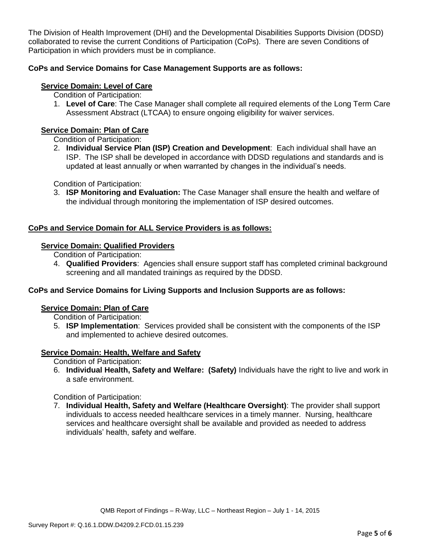The Division of Health Improvement (DHI) and the Developmental Disabilities Supports Division (DDSD) collaborated to revise the current Conditions of Participation (CoPs). There are seven Conditions of Participation in which providers must be in compliance.

### **CoPs and Service Domains for Case Management Supports are as follows:**

### **Service Domain: Level of Care**

Condition of Participation:

1. **Level of Care**: The Case Manager shall complete all required elements of the Long Term Care Assessment Abstract (LTCAA) to ensure ongoing eligibility for waiver services.

### **Service Domain: Plan of Care**

Condition of Participation:

2. **Individual Service Plan (ISP) Creation and Development**: Each individual shall have an ISP. The ISP shall be developed in accordance with DDSD regulations and standards and is updated at least annually or when warranted by changes in the individual's needs.

Condition of Participation:

3. **ISP Monitoring and Evaluation:** The Case Manager shall ensure the health and welfare of the individual through monitoring the implementation of ISP desired outcomes.

# **CoPs and Service Domain for ALL Service Providers is as follows:**

### **Service Domain: Qualified Providers**

Condition of Participation:

4. **Qualified Providers**: Agencies shall ensure support staff has completed criminal background screening and all mandated trainings as required by the DDSD.

#### **CoPs and Service Domains for Living Supports and Inclusion Supports are as follows:**

#### **Service Domain: Plan of Care**

Condition of Participation:

5. **ISP Implementation**: Services provided shall be consistent with the components of the ISP and implemented to achieve desired outcomes.

#### **Service Domain: Health, Welfare and Safety**

Condition of Participation:

6. **Individual Health, Safety and Welfare: (Safety)** Individuals have the right to live and work in a safe environment.

Condition of Participation:

7. **Individual Health, Safety and Welfare (Healthcare Oversight)**: The provider shall support individuals to access needed healthcare services in a timely manner. Nursing, healthcare services and healthcare oversight shall be available and provided as needed to address individuals' health, safety and welfare.